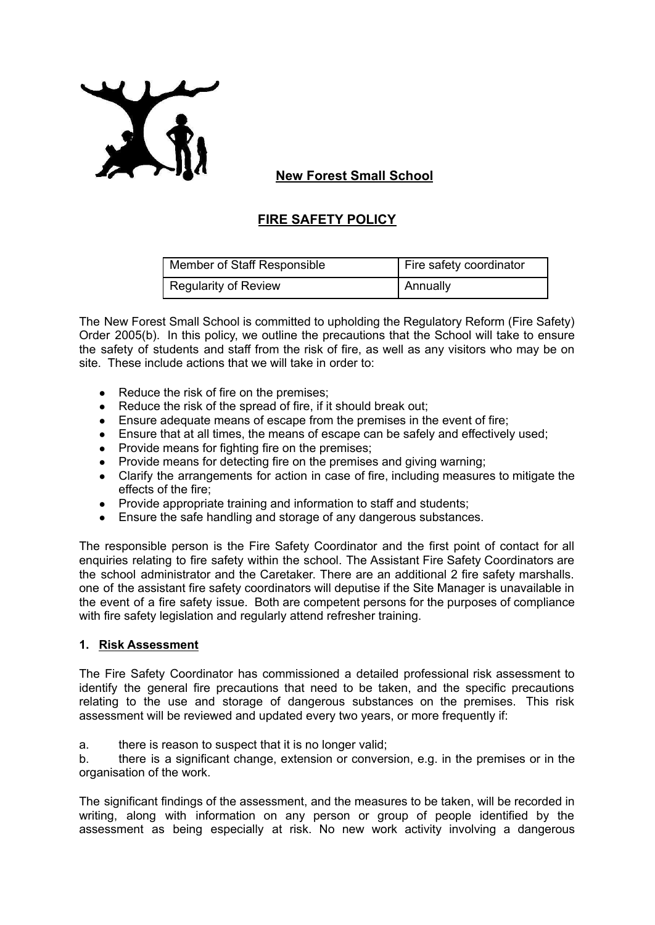

# **New Forest Small School**

# **FIRE SAFETY POLICY**

| Member of Staff Responsible | Fire safety coordinator |
|-----------------------------|-------------------------|
| <b>Regularity of Review</b> | Annually                |

The New Forest Small School is committed to upholding the Regulatory Reform (Fire Safety) Order 2005(b). In this policy, we outline the precautions that the School will take to ensure the safety of students and staff from the risk of fire, as well as any visitors who may be on site. These include actions that we will take in order to:

- Reduce the risk of fire on the premises:
- Reduce the risk of the spread of fire, if it should break out;
- Ensure adequate means of escape from the premises in the event of fire;
- Ensure that at all times, the means of escape can be safely and effectively used;
- Provide means for fighting fire on the premises;
- Provide means for detecting fire on the premises and giving warning;
- Clarify the arrangements for action in case of fire, including measures to mitigate the effects of the fire;
- Provide appropriate training and information to staff and students:
- Ensure the safe handling and storage of any dangerous substances.

The responsible person is the Fire Safety Coordinator and the first point of contact for all enquiries relating to fire safety within the school. The Assistant Fire Safety Coordinators are the school administrator and the Caretaker. There are an additional 2 fire safety marshalls. one of the assistant fire safety coordinators will deputise if the Site Manager is unavailable in the event of a fire safety issue. Both are competent persons for the purposes of compliance with fire safety legislation and regularly attend refresher training.

#### **1. Risk Assessment**

The Fire Safety Coordinator has commissioned a detailed professional risk assessment to identify the general fire precautions that need to be taken, and the specific precautions relating to the use and storage of dangerous substances on the premises. This risk assessment will be reviewed and updated every two years, or more frequently if:

a. there is reason to suspect that it is no longer valid;

b. there is a significant change, extension or conversion, e.g. in the premises or in the organisation of the work.

The significant findings of the assessment, and the measures to be taken, will be recorded in writing, along with information on any person or group of people identified by the assessment as being especially at risk. No new work activity involving a dangerous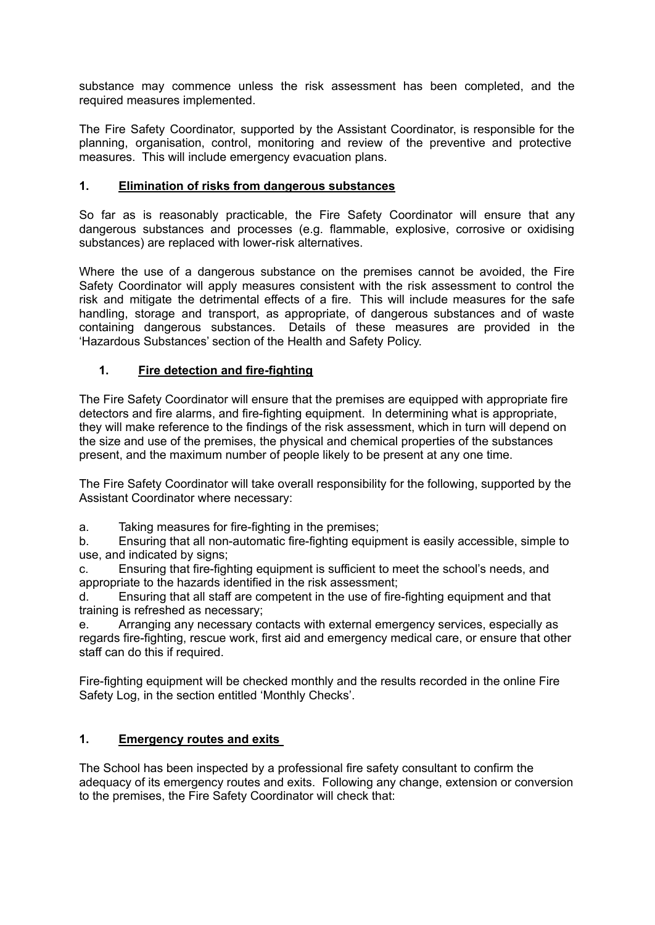substance may commence unless the risk assessment has been completed, and the required measures implemented.

The Fire Safety Coordinator, supported by the Assistant Coordinator, is responsible for the planning, organisation, control, monitoring and review of the preventive and protective measures. This will include emergency evacuation plans.

#### **1. Elimination of risks from dangerous substances**

So far as is reasonably practicable, the Fire Safety Coordinator will ensure that any dangerous substances and processes (e.g. flammable, explosive, corrosive or oxidising substances) are replaced with lower-risk alternatives.

Where the use of a dangerous substance on the premises cannot be avoided, the Fire Safety Coordinator will apply measures consistent with the risk assessment to control the risk and mitigate the detrimental effects of a fire. This will include measures for the safe handling, storage and transport, as appropriate, of dangerous substances and of waste containing dangerous substances. Details of these measures are provided in the 'Hazardous Substances' section of the Health and Safety Policy.

#### **1. Fire detection and fire-fighting**

The Fire Safety Coordinator will ensure that the premises are equipped with appropriate fire detectors and fire alarms, and fire-fighting equipment. In determining what is appropriate, they will make reference to the findings of the risk assessment, which in turn will depend on the size and use of the premises, the physical and chemical properties of the substances present, and the maximum number of people likely to be present at any one time.

The Fire Safety Coordinator will take overall responsibility for the following, supported by the Assistant Coordinator where necessary:

a. Taking measures for fire-fighting in the premises;

b. Ensuring that all non-automatic fire-fighting equipment is easily accessible, simple to use, and indicated by signs;

c. Ensuring that fire-fighting equipment is sufficient to meet the school's needs, and appropriate to the hazards identified in the risk assessment;

d. Ensuring that all staff are competent in the use of fire-fighting equipment and that training is refreshed as necessary;

e. Arranging any necessary contacts with external emergency services, especially as regards fire-fighting, rescue work, first aid and emergency medical care, or ensure that other staff can do this if required.

Fire-fighting equipment will be checked monthly and the results recorded in the online Fire Safety Log, in the section entitled 'Monthly Checks'.

### **1. Emergency routes and exits**

The School has been inspected by a professional fire safety consultant to confirm the adequacy of its emergency routes and exits. Following any change, extension or conversion to the premises, the Fire Safety Coordinator will check that: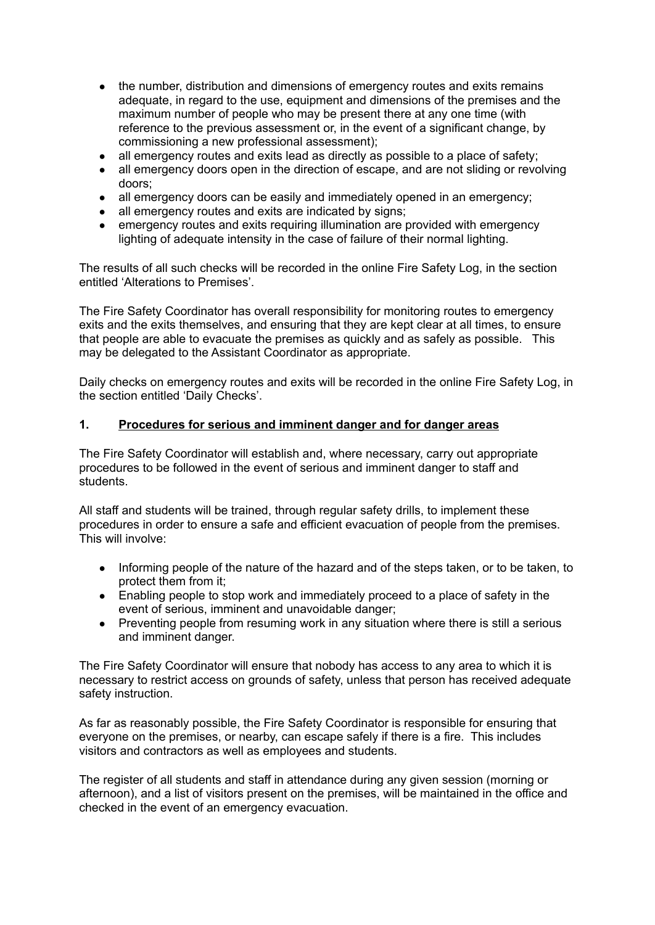- the number, distribution and dimensions of emergency routes and exits remains adequate, in regard to the use, equipment and dimensions of the premises and the maximum number of people who may be present there at any one time (with reference to the previous assessment or, in the event of a significant change, by commissioning a new professional assessment);
- all emergency routes and exits lead as directly as possible to a place of safety;
- all emergency doors open in the direction of escape, and are not sliding or revolving doors;
- all emergency doors can be easily and immediately opened in an emergency;
- all emergency routes and exits are indicated by signs;
- emergency routes and exits requiring illumination are provided with emergency lighting of adequate intensity in the case of failure of their normal lighting.

The results of all such checks will be recorded in the online Fire Safety Log, in the section entitled 'Alterations to Premises'.

The Fire Safety Coordinator has overall responsibility for monitoring routes to emergency exits and the exits themselves, and ensuring that they are kept clear at all times, to ensure that people are able to evacuate the premises as quickly and as safely as possible. This may be delegated to the Assistant Coordinator as appropriate.

Daily checks on emergency routes and exits will be recorded in the online Fire Safety Log, in the section entitled 'Daily Checks'.

#### **1. Procedures for serious and imminent danger and for danger areas**

The Fire Safety Coordinator will establish and, where necessary, carry out appropriate procedures to be followed in the event of serious and imminent danger to staff and students.

All staff and students will be trained, through regular safety drills, to implement these procedures in order to ensure a safe and efficient evacuation of people from the premises. This will involve:

- Informing people of the nature of the hazard and of the steps taken, or to be taken, to protect them from it;
- Enabling people to stop work and immediately proceed to a place of safety in the event of serious, imminent and unavoidable danger;
- Preventing people from resuming work in any situation where there is still a serious and imminent danger.

The Fire Safety Coordinator will ensure that nobody has access to any area to which it is necessary to restrict access on grounds of safety, unless that person has received adequate safety instruction.

As far as reasonably possible, the Fire Safety Coordinator is responsible for ensuring that everyone on the premises, or nearby, can escape safely if there is a fire. This includes visitors and contractors as well as employees and students.

The register of all students and staff in attendance during any given session (morning or afternoon), and a list of visitors present on the premises, will be maintained in the office and checked in the event of an emergency evacuation.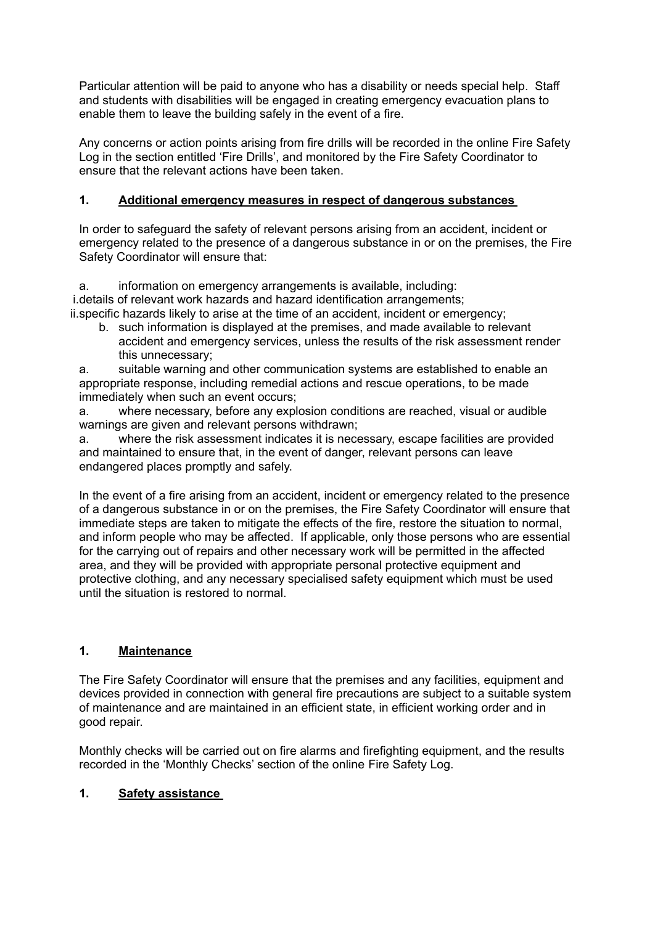Particular attention will be paid to anyone who has a disability or needs special help. Staff and students with disabilities will be engaged in creating emergency evacuation plans to enable them to leave the building safely in the event of a fire.

Any concerns or action points arising from fire drills will be recorded in the online Fire Safety Log in the section entitled 'Fire Drills', and monitored by the Fire Safety Coordinator to ensure that the relevant actions have been taken.

### **1. Additional emergency measures in respect of dangerous substances**

In order to safeguard the safety of relevant persons arising from an accident, incident or emergency related to the presence of a dangerous substance in or on the premises, the Fire Safety Coordinator will ensure that:

a. information on emergency arrangements is available, including: i.details of relevant work hazards and hazard identification arrangements; ii.specific hazards likely to arise at the time of an accident, incident or emergency;

b. such information is displayed at the premises, and made available to relevant accident and emergency services, unless the results of the risk assessment render this unnecessary;

a. suitable warning and other communication systems are established to enable an appropriate response, including remedial actions and rescue operations, to be made immediately when such an event occurs;

a. where necessary, before any explosion conditions are reached, visual or audible warnings are given and relevant persons withdrawn;

a. where the risk assessment indicates it is necessary, escape facilities are provided and maintained to ensure that, in the event of danger, relevant persons can leave endangered places promptly and safely.

In the event of a fire arising from an accident, incident or emergency related to the presence of a dangerous substance in or on the premises, the Fire Safety Coordinator will ensure that immediate steps are taken to mitigate the effects of the fire, restore the situation to normal, and inform people who may be affected. If applicable, only those persons who are essential for the carrying out of repairs and other necessary work will be permitted in the affected area, and they will be provided with appropriate personal protective equipment and protective clothing, and any necessary specialised safety equipment which must be used until the situation is restored to normal.

### **1. Maintenance**

The Fire Safety Coordinator will ensure that the premises and any facilities, equipment and devices provided in connection with general fire precautions are subject to a suitable system of maintenance and are maintained in an efficient state, in efficient working order and in good repair.

Monthly checks will be carried out on fire alarms and firefighting equipment, and the results recorded in the 'Monthly Checks' section of the online Fire Safety Log.

## **1. Safety assistance**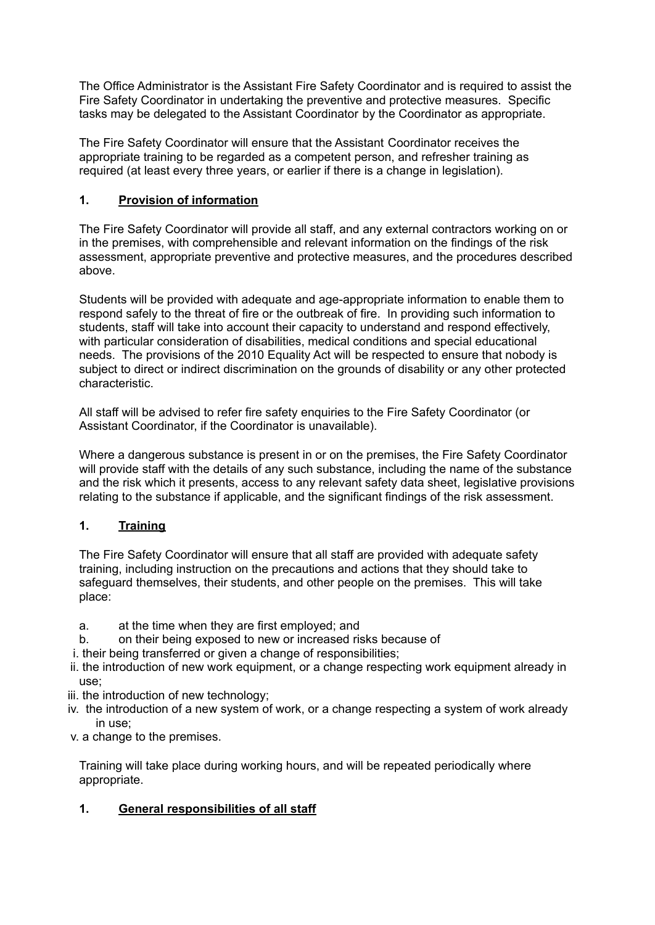The Office Administrator is the Assistant Fire Safety Coordinator and is required to assist the Fire Safety Coordinator in undertaking the preventive and protective measures. Specific tasks may be delegated to the Assistant Coordinator by the Coordinator as appropriate.

The Fire Safety Coordinator will ensure that the Assistant Coordinator receives the appropriate training to be regarded as a competent person, and refresher training as required (at least every three years, or earlier if there is a change in legislation).

## **1. Provision of information**

The Fire Safety Coordinator will provide all staff, and any external contractors working on or in the premises, with comprehensible and relevant information on the findings of the risk assessment, appropriate preventive and protective measures, and the procedures described above.

Students will be provided with adequate and age-appropriate information to enable them to respond safely to the threat of fire or the outbreak of fire. In providing such information to students, staff will take into account their capacity to understand and respond effectively, with particular consideration of disabilities, medical conditions and special educational needs. The provisions of the 2010 Equality Act will be respected to ensure that nobody is subject to direct or indirect discrimination on the grounds of disability or any other protected characteristic.

All staff will be advised to refer fire safety enquiries to the Fire Safety Coordinator (or Assistant Coordinator, if the Coordinator is unavailable).

Where a dangerous substance is present in or on the premises, the Fire Safety Coordinator will provide staff with the details of any such substance, including the name of the substance and the risk which it presents, access to any relevant safety data sheet, legislative provisions relating to the substance if applicable, and the significant findings of the risk assessment.

### **1. Training**

The Fire Safety Coordinator will ensure that all staff are provided with adequate safety training, including instruction on the precautions and actions that they should take to safeguard themselves, their students, and other people on the premises. This will take place:

- a. at the time when they are first employed; and
- b. on their being exposed to new or increased risks because of
- i. their being transferred or given a change of responsibilities;
- ii. the introduction of new work equipment, or a change respecting work equipment already in use;
- iii. the introduction of new technology;
- iv. the introduction of a new system of work, or a change respecting a system of work already in use;
- v. a change to the premises.

Training will take place during working hours, and will be repeated periodically where appropriate.

## **1. General responsibilities of all staff**